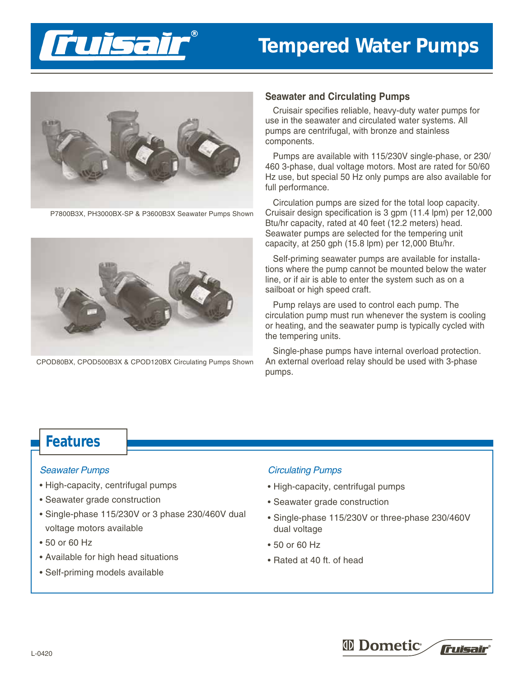



P7800B3X, PH3000BX-SP & P3600B3X Seawater Pumps Shown



CPOD80BX, CPOD500B3X & CPOD120BX Circulating Pumps Shown

#### **Seawater and Circulating Pumps**

Cruisair specifies reliable, heavy-duty water pumps for use in the seawater and circulated water systems. All pumps are centrifugal, with bronze and stainless components.

Pumps are available with 115/230V single-phase, or 230/ 460 3-phase, dual voltage motors. Most are rated for 50/60 Hz use, but special 50 Hz only pumps are also available for full performance.

Circulation pumps are sized for the total loop capacity. Cruisair design specification is 3 gpm (11.4 lpm) per 12,000 Btu/hr capacity, rated at 40 feet (12.2 meters) head. Seawater pumps are selected for the tempering unit capacity, at 250 gph (15.8 lpm) per 12,000 Btu/hr.

Self-priming seawater pumps are available for installations where the pump cannot be mounted below the water line, or if air is able to enter the system such as on a sailboat or high speed craft.

Pump relays are used to control each pump. The circulation pump must run whenever the system is cooling or heating, and the seawater pump is typically cycled with the tempering units.

Single-phase pumps have internal overload protection. An external overload relay should be used with 3-phase pumps.

# **Features**

#### Seawater Pumps

- High-capacity, centrifugal pumps
- Seawater grade construction
- Single-phase 115/230V or 3 phase 230/460V dual voltage motors available
- 50 or 60 Hz
- Available for high head situations
- Self-priming models available

### Circulating Pumps

- High-capacity, centrifugal pumps
- Seawater grade construction
- Single-phase 115/230V or three-phase 230/460V dual voltage
- 50 or 60 Hz
- Rated at 40 ft. of head